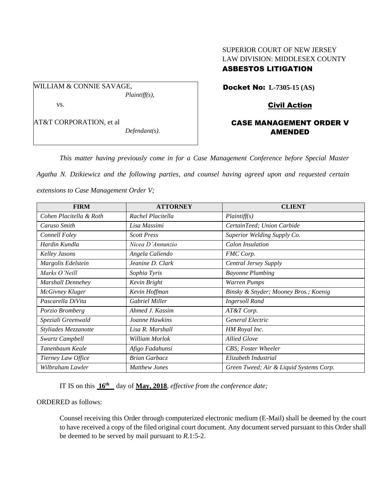# SUPERIOR COURT OF NEW JERSEY LAW DIVISION: MIDDLESEX COUNTY ASBESTOS LITIGATION

WILLIAM & CONNIE SAVAGE, *Plaintiff(s),* vs. AT&T CORPORATION, et al

*Defendant(s).*

Docket No: **L-7305-15 (AS)** 

## Civil Action

## CASE MANAGEMENT ORDER V AMENDED

*This matter having previously come in for a Case Management Conference before Special Master* 

*Agatha N. Dzikiewicz and the following parties, and counsel having agreed upon and requested certain* 

*extensions to Case Management Order V;*

| <b>FIRM</b>             | <b>ATTORNEY</b>      | <b>CLIENT</b>                           |
|-------------------------|----------------------|-----------------------------------------|
| Cohen Placitella & Roth | Rachel Placitella    | Plaintiff(s)                            |
| Caruso Smith            | Lisa Massimi         | CertainTeed; Union Carbide              |
| Connell Foley           | <b>Scott Press</b>   | Superior Welding Supply Co.             |
| Hardin Kundla           | Nicea D'Annunzio     | Calon Insulation                        |
| <b>Kelley Jasons</b>    | Angela Caliendo      | FMC Corp.                               |
| Margolis Edelstein      | Jeanine D. Clark     | <b>Central Jersey Supply</b>            |
| Marks O'Neill           | Sophia Tyris         | <b>Bayonne Plumbing</b>                 |
| Marshall Dennehey       | Kevin Bright         | Warren Pumps                            |
| <b>McGivney Kluger</b>  | Kevin Hoffman        | Binsky & Snyder; Mooney Bros.; Koenig   |
| Pascarella DiVita       | Gabriel Miller       | <b>Ingersoll Rand</b>                   |
| Porzio Bromberg         | Ahmed J. Kassim      | AT&T Corp.                              |
| Speziali Greenwald      | Joanne Hawkins       | General Electric                        |
| Styliades Mezzanotte    | Lisa R. Marshall     | HM Royal Inc.                           |
| Swartz Campbell         | William Morlok       | <b>Allied Glove</b>                     |
| Tanenbaum Keale         | Afigo Fadahunsi      | CBS; Foster Wheeler                     |
| Tierney Law Office      | <b>Brian Garbacz</b> | Elizabeth Industrial                    |
| Wilbraham Lawler        | <b>Matthew Jones</b> | Green Tweed; Air & Liquid Systems Corp. |

IT IS on this **16th** day of **May, 2018**, *effective from the conference date;*

ORDERED as follows:

Counsel receiving this Order through computerized electronic medium (E-Mail) shall be deemed by the court to have received a copy of the filed original court document. Any document served pursuant to this Order shall be deemed to be served by mail pursuant to *R*.1:5-2.